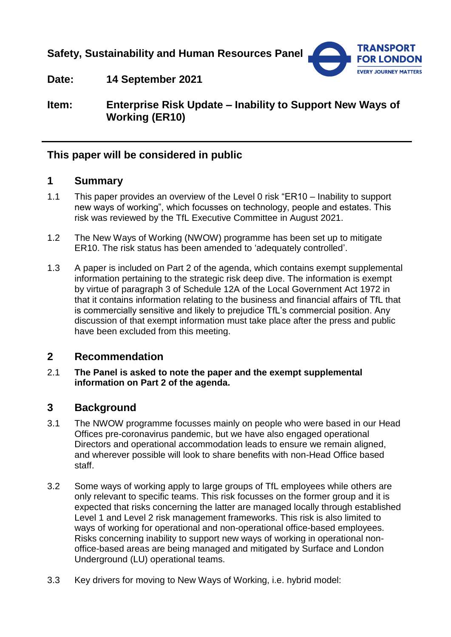**Safety, Sustainability and Human Resources Panel**



**Date: 14 September 2021**

**Item: Enterprise Risk Update – Inability to Support New Ways of Working (ER10)**

### **This paper will be considered in public**

#### **1 Summary**

- 1.1 This paper provides an overview of the Level 0 risk "ER10 Inability to support new ways of working", which focusses on technology, people and estates. This risk was reviewed by the TfL Executive Committee in August 2021.
- 1.2 The New Ways of Working (NWOW) programme has been set up to mitigate ER10. The risk status has been amended to 'adequately controlled'.
- 1.3 A paper is included on Part 2 of the agenda, which contains exempt supplemental information pertaining to the strategic risk deep dive. The information is exempt by virtue of paragraph 3 of Schedule 12A of the Local Government Act 1972 in that it contains information relating to the business and financial affairs of TfL that is commercially sensitive and likely to prejudice TfL's commercial position. Any discussion of that exempt information must take place after the press and public have been excluded from this meeting.

#### **2 Recommendation**

#### 2.1 **The Panel is asked to note the paper and the exempt supplemental information on Part 2 of the agenda.**

## **3 Background**

- 3.1 The NWOW programme focusses mainly on people who were based in our Head Offices pre-coronavirus pandemic, but we have also engaged operational Directors and operational accommodation leads to ensure we remain aligned, and wherever possible will look to share benefits with non-Head Office based staff.
- 3.2 Some ways of working apply to large groups of TfL employees while others are only relevant to specific teams. This risk focusses on the former group and it is expected that risks concerning the latter are managed locally through established Level 1 and Level 2 risk management frameworks. This risk is also limited to ways of working for operational and non-operational office-based employees. Risks concerning inability to support new ways of working in operational nonoffice-based areas are being managed and mitigated by Surface and London Underground (LU) operational teams.
- 3.3 Key drivers for moving to New Ways of Working, i.e. hybrid model: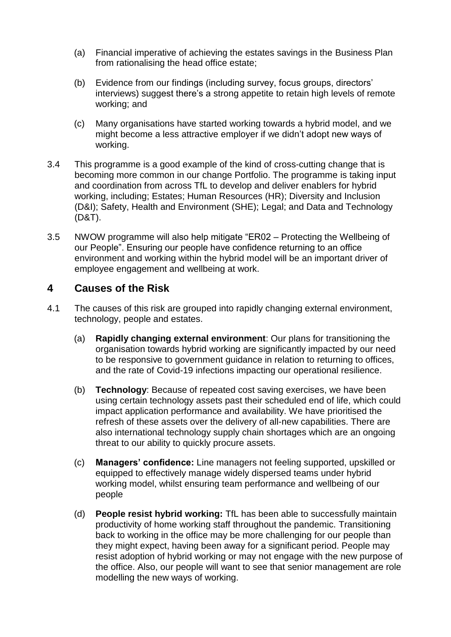- (a) Financial imperative of achieving the estates savings in the Business Plan from rationalising the head office estate;
- (b) Evidence from our findings (including survey, focus groups, directors' interviews) suggest there's a strong appetite to retain high levels of remote working; and
- (c) Many organisations have started working towards a hybrid model, and we might become a less attractive employer if we didn't adopt new ways of working.
- 3.4 This programme is a good example of the kind of cross-cutting change that is becoming more common in our change Portfolio. The programme is taking input and coordination from across TfL to develop and deliver enablers for hybrid working, including; Estates; Human Resources (HR); Diversity and Inclusion (D&I); Safety, Health and Environment (SHE); Legal; and Data and Technology (D&T).
- 3.5 NWOW programme will also help mitigate "ER02 Protecting the Wellbeing of our People". Ensuring our people have confidence returning to an office environment and working within the hybrid model will be an important driver of employee engagement and wellbeing at work.

## **4 Causes of the Risk**

- 4.1 The causes of this risk are grouped into rapidly changing external environment, technology, people and estates.
	- (a) **Rapidly changing external environment**: Our plans for transitioning the organisation towards hybrid working are significantly impacted by our need to be responsive to government guidance in relation to returning to offices, and the rate of Covid-19 infections impacting our operational resilience.
	- (b) **Technology**: Because of repeated cost saving exercises, we have been using certain technology assets past their scheduled end of life, which could impact application performance and availability. We have prioritised the refresh of these assets over the delivery of all-new capabilities. There are also international technology supply chain shortages which are an ongoing threat to our ability to quickly procure assets.
	- (c) **Managers' confidence:** Line managers not feeling supported, upskilled or equipped to effectively manage widely dispersed teams under hybrid working model, whilst ensuring team performance and wellbeing of our people
	- (d) **People resist hybrid working:** TfL has been able to successfully maintain productivity of home working staff throughout the pandemic. Transitioning back to working in the office may be more challenging for our people than they might expect, having been away for a significant period. People may resist adoption of hybrid working or may not engage with the new purpose of the office. Also, our people will want to see that senior management are role modelling the new ways of working.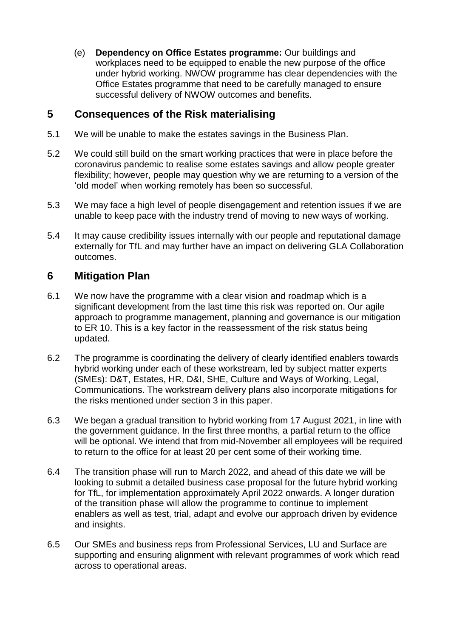(e) **Dependency on Office Estates programme:** Our buildings and workplaces need to be equipped to enable the new purpose of the office under hybrid working. NWOW programme has clear dependencies with the Office Estates programme that need to be carefully managed to ensure successful delivery of NWOW outcomes and benefits.

## **5 Consequences of the Risk materialising**

- 5.1 We will be unable to make the estates savings in the Business Plan.
- 5.2 We could still build on the smart working practices that were in place before the coronavirus pandemic to realise some estates savings and allow people greater flexibility; however, people may question why we are returning to a version of the 'old model' when working remotely has been so successful.
- 5.3 We may face a high level of people disengagement and retention issues if we are unable to keep pace with the industry trend of moving to new ways of working.
- 5.4 It may cause credibility issues internally with our people and reputational damage externally for TfL and may further have an impact on delivering GLA Collaboration outcomes.

# **6 Mitigation Plan**

- 6.1 We now have the programme with a clear vision and roadmap which is a significant development from the last time this risk was reported on. Our agile approach to programme management, planning and governance is our mitigation to ER 10. This is a key factor in the reassessment of the risk status being updated.
- 6.2 The programme is coordinating the delivery of clearly identified enablers towards hybrid working under each of these workstream, led by subject matter experts (SMEs): D&T, Estates, HR, D&I, SHE, Culture and Ways of Working, Legal, Communications. The workstream delivery plans also incorporate mitigations for the risks mentioned under section 3 in this paper.
- 6.3 We began a gradual transition to hybrid working from 17 August 2021, in line with the government guidance. In the first three months, a partial return to the office will be optional. We intend that from mid-November all employees will be required to return to the office for at least 20 per cent some of their working time.
- 6.4 The transition phase will run to March 2022, and ahead of this date we will be looking to submit a detailed business case proposal for the future hybrid working for TfL, for implementation approximately April 2022 onwards. A longer duration of the transition phase will allow the programme to continue to implement enablers as well as test, trial, adapt and evolve our approach driven by evidence and insights.
- 6.5 Our SMEs and business reps from Professional Services, LU and Surface are supporting and ensuring alignment with relevant programmes of work which read across to operational areas.